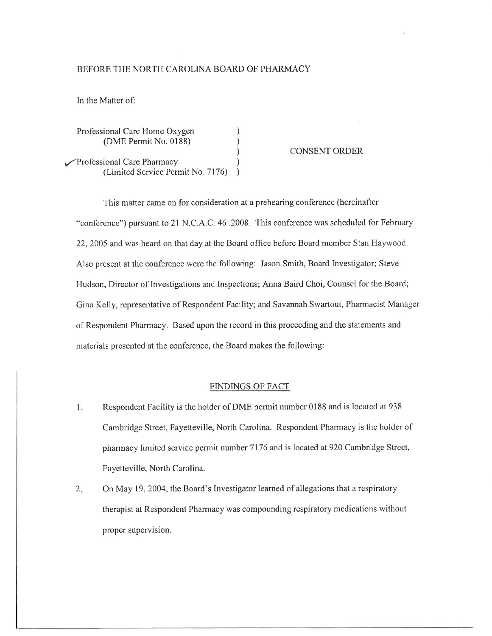## BEFORE THE NORTH CAROLINA BOARD OF PHARMACY

In the Matter of:

| Professional Care Home Oxygen<br>(DME Permit No. 0188)          | <b>CONSENT ORDER</b> |
|-----------------------------------------------------------------|----------------------|
| Professional Care Pharmacy<br>(Limited Service Permit No. 7176) |                      |

This matter came on for consideration at a prehearing conference (hereinafter "conference") pursuant to 21 N.C.A.C. 46 .2008. This conference was scheduled for February 22, 2005 and was heard on that day at the Board office before Board member Stan Haywood. Also present at the conference were the following: Jason Smith, Board Investigator; Steve Hudson, Director of Investigations and Inspections; Anna Baird Choi, Counsel for the Board; Gina Kelly, representative of Respondent Facility; and Savannah Swartout, Pharmacìst Manager of Respondent Pharmacy. Based upon the record in this proceeding and the statements and materials presented at the conference, the Board makes the following:

## FINDINGS OF FACT

- L. Respondent Facility is the holdcr of DME permit number 0188 and is located at 938 Cambridgc Street, Fayetteville, North Carolina. Respondent Pharmacy is the holder of phannacy limited service permit number 7176 and is located at920 Cambridge Strcct, Fayetteville, North Carolina,
- $2.$ On May 19,2004, the Board's Investigator learned of allegations that a respiratory therapist at Respondent Pharmacy was compounding respiratory medications without proper supervision.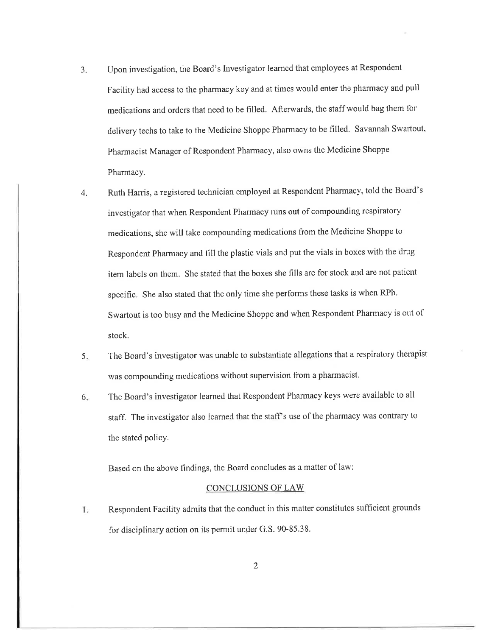- 3 Upon investigation, the Board's Investigator learned that employees at Respondent Facility had access to the pharmacy key and at times would enter the pharmacy and pull medications and orders that need to be filled. Afterwards, the staff would bag them for delivery techs to take to the Medicine Shoppe Pharmacy to be filled. Savannah Swartout, Pharmacist Manager of Respondent Pharmacy, also owns the Medicine Shoppe Pharmacy,
- 4. Ruth Harris, a registered technician employed at Respondent Pharmacy, told the Board's investigator that when Respondent Pharmacy runs out of compounding respiratory medications, she will take compounding medications from the Medicine Shoppe to Respondent Pharmacy and fill the plastic vials and put the vials in boxes with the drug item labels on them. She stated that the boxes she fills are for stock and are not patient specific. She also stated that the only time she performs these tasks is when RPh. Swartout is too busy and the Medicine Shoppe and when Respondent Pharmacy is out of stock.
- The Board's investigator was unable to substantiate allegations that a respiratory therapist was compounding medications without supervision from a pharmacist. 5
- The Board's investigator learned that Respondent Pharmacy keys were available to all staff. The investigator also learned that the staff's use of the pharmacy was contrary to the stated policy. 6

Based on the above findings, the Board concludes as a matter of law:

## CONCLUSIONS OF LAW

Respondent Facility admits that the conduct in this matter constitutes sufficient grounds Ŀ for disciplinary action on its permit under G.S. 90-85.38.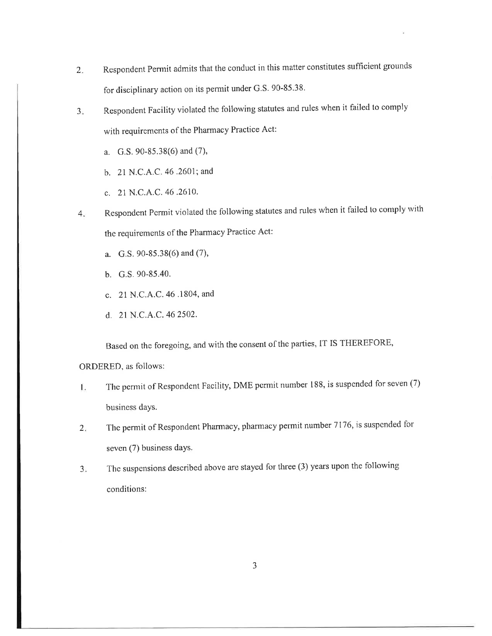- $2.$ Respondent pennit admits that the condnct in this matter constitutes sufficient grounds for disciplinary action on its permit under G.S. 90-85.38.
- $3<sub>1</sub>$ Respondent Facility violated the following statutes and rules when it failed to comply with requirements of the Pharmacy Practice Act:
	- a. G.S. 90-85.38(6) and (7),
	- b. 21 N.C.A.C.46 .2601; and
	- c. 2l N.C.4.C.46 .2610.
- Respondent permit violated the following statutes and rules when it failed to comply with the requirements of the Phannacy Practice Act:  $4.$ 
	- a. G.S. 90-85.38(6) and (7),
	- b. G.s. 90-85.40.
	- c. 21 N.C.A.C.46 .1804, and
	- d. 21 N.C.A.C.462502.

Based on the foregoing, and with the consent of the parties, IT IS THEREFORE,

ORDERED, as follows:

- The permit of Respondent Facility, DME pcrmit number 188, is suspended for seven (7) Ϊ. business days.
- The permit of Respondent Pharmacy, pharmacy permit number 7176, is suspended for seven (7) business days.  $2.$
- The suspensions described above are stayed for three (3) years upon the following conditions:  $3<sub>1</sub>$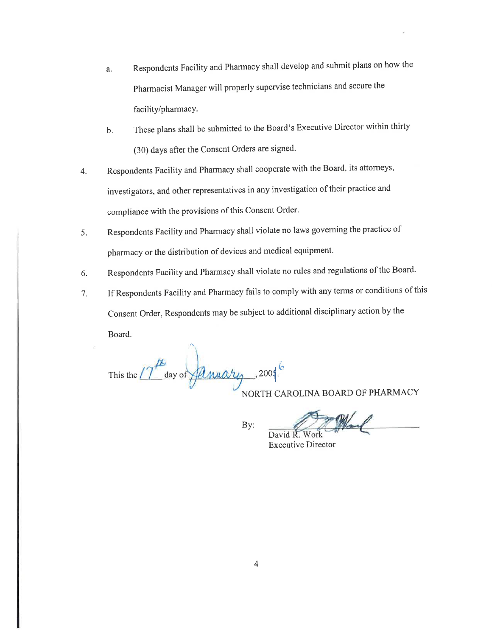- Respondents Facility and Pharmacy shall develop and submit plans on how the a. Pharmacist Manager will properly supervise technicians and secure the facility/pharmacy.
- These plans shall be submitted to the Board's Executive Director within thirty  $b<sub>1</sub>$ (30) days after the Consent Orders are signed.
- Respondents Facility and Pharmacy shall cooperate with the Board, its attorneys,  $4.$ investigators, and other representatives in any investigation of their practice and compliance with the provisions of this Consent Order.
- Respondents Facility and Pharmacy shall violate no laws governing the practice of 5. pharmacy or the distribution of devices and medical equipment.
- Respondents Facility and Pharmacy shall violate no rules and regulations of the Board. 6.
- If Respondents Facility and Pharmacy fails to comply with any terms or conditions of this  $7.$ Consent Order, Respondents may be subject to additional disciplinary action by the Board.

This the  $17<sup>12</sup>$  day of  $\overline{A}$  muary . 2004.

NORTH CAROLINA BOARD OF PHARMACY

By:

David R. **Executive Director**